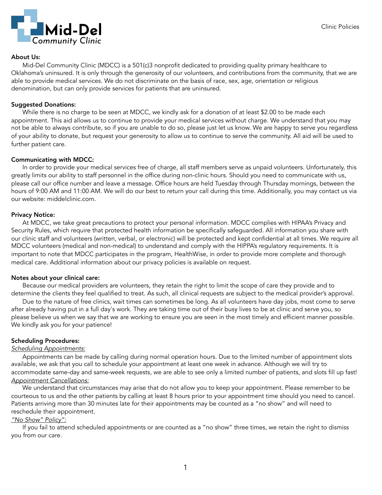

#### About Us:

 Mid-Del Community Clinic (MDCC) is a 501(c)3 nonprofit dedicated to providing quality primary healthcare to Oklahoma's uninsured. It is only through the generosity of our volunteers, and contributions from the community, that we are able to provide medical services. We do not discriminate on the basis of race, sex, age, orientation or religious denomination, but can only provide services for patients that are uninsured.

### Suggested Donations:

 While there is no charge to be seen at MDCC, we kindly ask for a donation of at least \$2.00 to be made each appointment. This aid allows us to continue to provide your medical services without charge. We understand that you may not be able to always contribute, so if you are unable to do so, please just let us know. We are happy to serve you regardless of your ability to donate, but request your generosity to allow us to continue to serve the community. All aid will be used to further patient care.

### Communicating with MDCC:

 In order to provide your medical services free of charge, all staff members serve as unpaid volunteers. Unfortunately, this greatly limits our ability to staff personnel in the office during non-clinic hours. Should you need to communicate with us, please call our office number and leave a message. Office hours are held Tuesday through Thursday mornings, between the hours of 9:00 AM and 11:00 AM. We will do our best to return your call during this time. Additionally, you may contact us via our website: middelclinic.com.

### Privacy Notice:

 At MDCC, we take great precautions to protect your personal information. MDCC complies with HIPAA's Privacy and Security Rules, which require that protected health information be specifically safeguarded. All information you share with our clinic staff and volunteers (written, verbal, or electronic) will be protected and kept confidential at all times. We require all MDCC volunteers (medical and non-medical) to understand and comply with the HIPPA's regulatory requirements. It is important to note that MDCC participates in the program, HealthWise, in order to provide more complete and thorough medical care. Additional information about our privacy policies is available on request.

#### Notes about your clinical care:

 Because our medical providers are volunteers, they retain the right to limit the scope of care they provide and to determine the clients they feel qualified to treat. As such, all clinical requests are subject to the medical provider's approval.

 Due to the nature of free clinics, wait times can sometimes be long. As all volunteers have day jobs, most come to serve after already having put in a full day's work. They are taking time out of their busy lives to be at clinic and serve you, so please believe us when we say that we are working to ensure you are seen in the most timely and efficient manner possible. We kindly ask you for your patience!

# Scheduling Procedures:

#### *Scheduling Appointments:*

 Appointments can be made by calling during normal operation hours. Due to the limited number of appointment slots available, we ask that you call to schedule your appointment at least one week in advance. Although we will try to accommodate same-day and same-week requests, we are able to see only a limited number of patients, and slots fill up fast! *Appointment Cancellations:*

 We understand that circumstances may arise that do not allow you to keep your appointment. Please remember to be courteous to us and the other patients by calling at least 8 hours prior to your appointment time should you need to cancel. Patients arriving more than 30 minutes late for their appointments may be counted as a "no show" and will need to reschedule their appointment.

#### *"No Show" Policy":*

 If you fail to attend scheduled appointments or are counted as a "no show" three times, we retain the right to dismiss you from our care.